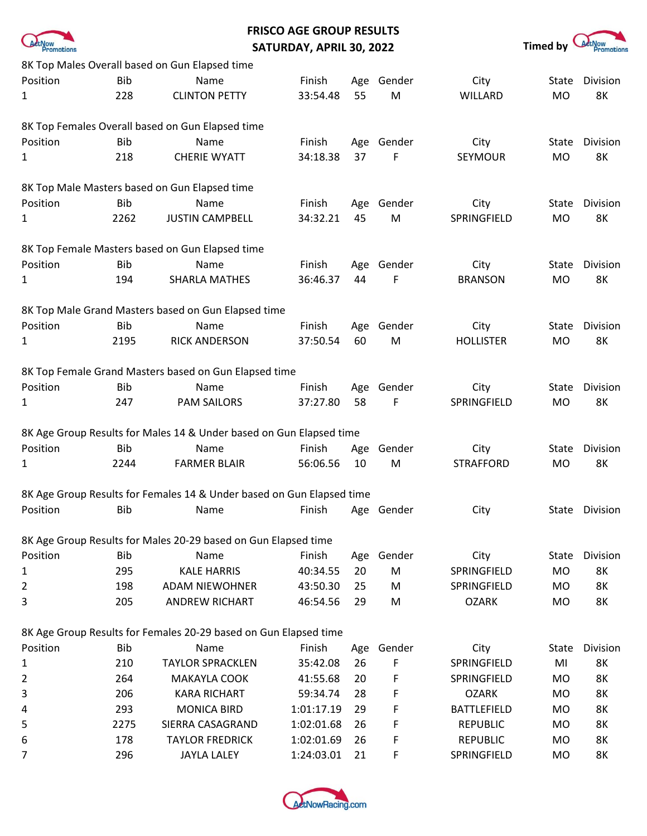

## **FRISCO AGE GROUP RESULTS SATURDAY, APRIL 30, 2022 Timed by** *A***tMow <b>Transformations**



|                |            | 8K Top Males Overall based on Gun Elapsed time                        |            |     |            |                    |              |           |
|----------------|------------|-----------------------------------------------------------------------|------------|-----|------------|--------------------|--------------|-----------|
| Position       | <b>Bib</b> | Name                                                                  | Finish     | Age | Gender     | City               | <b>State</b> | Division  |
| 1              | 228        | <b>CLINTON PETTY</b>                                                  | 33:54.48   | 55  | M          | WILLARD            | <b>MO</b>    | <b>8K</b> |
|                |            |                                                                       |            |     |            |                    |              |           |
|                |            | 8K Top Females Overall based on Gun Elapsed time                      |            |     |            |                    |              |           |
| Position       | <b>Bib</b> | Name                                                                  | Finish     | Age | Gender     | City               | State        | Division  |
| 1              | 218        | <b>CHERIE WYATT</b>                                                   | 34:18.38   | 37  | F          | <b>SEYMOUR</b>     | <b>MO</b>    | <b>8K</b> |
|                |            |                                                                       |            |     |            |                    |              |           |
|                |            | 8K Top Male Masters based on Gun Elapsed time                         |            |     |            |                    |              |           |
| Position       | <b>Bib</b> | Name                                                                  | Finish     | Age | Gender     | City               | State        | Division  |
| 1              | 2262       | <b>JUSTIN CAMPBELL</b>                                                | 34:32.21   | 45  | M          | SPRINGFIELD        | <b>MO</b>    | <b>8K</b> |
|                |            |                                                                       |            |     |            |                    |              |           |
|                |            | 8K Top Female Masters based on Gun Elapsed time                       |            |     |            |                    |              |           |
| Position       | <b>Bib</b> | Name                                                                  | Finish     | Age | Gender     | City               | <b>State</b> | Division  |
| 1              | 194        | <b>SHARLA MATHES</b>                                                  | 36:46.37   | 44  | F          | <b>BRANSON</b>     | <b>MO</b>    | <b>8K</b> |
|                |            | 8K Top Male Grand Masters based on Gun Elapsed time                   |            |     |            |                    |              |           |
| Position       | <b>Bib</b> | Name                                                                  | Finish     |     |            |                    |              | Division  |
|                |            |                                                                       |            | Age | Gender     | City               | State        |           |
| 1              | 2195       | <b>RICK ANDERSON</b>                                                  | 37:50.54   | 60  | M          | <b>HOLLISTER</b>   | <b>MO</b>    | <b>8K</b> |
|                |            | 8K Top Female Grand Masters based on Gun Elapsed time                 |            |     |            |                    |              |           |
| Position       | <b>Bib</b> | Name                                                                  | Finish     | Age | Gender     | City               | State        | Division  |
| 1              | 247        | <b>PAM SAILORS</b>                                                    | 37:27.80   | 58  | F          | SPRINGFIELD        | <b>MO</b>    | <b>8K</b> |
|                |            |                                                                       |            |     |            |                    |              |           |
|                |            | 8K Age Group Results for Males 14 & Under based on Gun Elapsed time   |            |     |            |                    |              |           |
| Position       | <b>Bib</b> | Name                                                                  | Finish     | Age | Gender     | City               | State        | Division  |
| 1              | 2244       | <b>FARMER BLAIR</b>                                                   | 56:06.56   | 10  | M          | <b>STRAFFORD</b>   | <b>MO</b>    | 8K        |
|                |            |                                                                       |            |     |            |                    |              |           |
|                |            | 8K Age Group Results for Females 14 & Under based on Gun Elapsed time |            |     |            |                    |              |           |
| Position       | <b>Bib</b> | Name                                                                  | Finish     |     | Age Gender | City               | State        | Division  |
|                |            |                                                                       |            |     |            |                    |              |           |
|                |            | 8K Age Group Results for Males 20-29 based on Gun Elapsed time        |            |     |            |                    |              |           |
| Position       | <b>Bib</b> | Name                                                                  | Finish     | Age | Gender     | City               | State        | Division  |
| 1              | 295        | <b>KALE HARRIS</b>                                                    | 40:34.55   | 20  | M          | SPRINGFIELD        | <b>MO</b>    | 8K        |
| 2              | 198        | <b>ADAM NIEWOHNER</b>                                                 | 43:50.30   | 25  | M          | SPRINGFIELD        | MO           | 8K        |
| 3              | 205        | <b>ANDREW RICHART</b>                                                 | 46:54.56   | 29  | M          | <b>OZARK</b>       | MO           | 8K        |
|                |            |                                                                       |            |     |            |                    |              |           |
|                |            | 8K Age Group Results for Females 20-29 based on Gun Elapsed time      |            |     |            |                    |              |           |
| Position       | <b>Bib</b> | Name                                                                  | Finish     | Age | Gender     | City               | State        | Division  |
| 1              | 210        | <b>TAYLOR SPRACKLEN</b>                                               | 35:42.08   | 26  | F          | SPRINGFIELD        | MI           | 8K        |
| $\overline{2}$ | 264        | MAKAYLA COOK                                                          | 41:55.68   | 20  | F          | SPRINGFIELD        | <b>MO</b>    | <b>8K</b> |
| 3              | 206        | <b>KARA RICHART</b>                                                   | 59:34.74   | 28  | F          | <b>OZARK</b>       | MO           | 8K        |
| 4              | 293        | <b>MONICA BIRD</b>                                                    | 1:01:17.19 | 29  | F          | <b>BATTLEFIELD</b> | <b>MO</b>    | <b>8K</b> |
| 5              | 2275       | SIERRA CASAGRAND                                                      | 1:02:01.68 | 26  | F          | <b>REPUBLIC</b>    | <b>MO</b>    | 8K        |
| 6              | 178        | <b>TAYLOR FREDRICK</b>                                                | 1:02:01.69 | 26  | F          | <b>REPUBLIC</b>    | <b>MO</b>    | 8K        |
| 7              | 296        | <b>JAYLA LALEY</b>                                                    | 1:24:03.01 | 21  | F          | SPRINGFIELD        | <b>MO</b>    | 8K        |

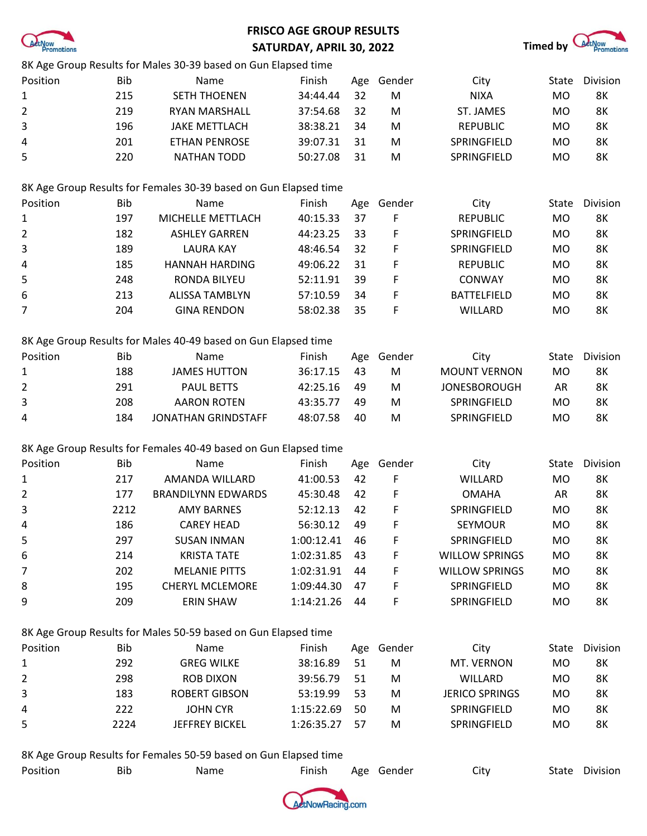

# **FRISCO AGE GROUP RESULTS SATURDAY, APRIL 30, 2022 Timed by** *A***those Timed by** *Athose*



|                |            | 8K Age Group Results for Males 30-39 based on Gun Elapsed time   |            |     |        |                       |           |           |
|----------------|------------|------------------------------------------------------------------|------------|-----|--------|-----------------------|-----------|-----------|
| Position       | Bib        | Name                                                             | Finish     | Age | Gender | City                  | State     | Division  |
| 1              | 215        | <b>SETH THOENEN</b>                                              | 34:44.44   | 32  | M      | <b>NIXA</b>           | <b>MO</b> | 8K        |
| 2              | 219        | <b>RYAN MARSHALL</b>                                             | 37:54.68   | 32  | M      | ST. JAMES             | <b>MO</b> | 8K        |
| 3              | 196        | <b>JAKE METTLACH</b>                                             | 38:38.21   | 34  | M      | <b>REPUBLIC</b>       | MO        | <b>8K</b> |
| 4              | 201        | <b>ETHAN PENROSE</b>                                             | 39:07.31   | 31  | M      | SPRINGFIELD           | <b>MO</b> | 8K        |
| 5              | 220        | <b>NATHAN TODD</b>                                               | 50:27.08   | 31  | M      | SPRINGFIELD           | MO        | <b>8K</b> |
|                |            |                                                                  |            |     |        |                       |           |           |
|                |            | 8K Age Group Results for Females 30-39 based on Gun Elapsed time |            |     |        |                       |           |           |
| Position       | <b>Bib</b> | Name                                                             | Finish     | Age | Gender | City                  | State     | Division  |
| 1              | 197        | MICHELLE METTLACH                                                | 40:15.33   | 37  | F      | <b>REPUBLIC</b>       | <b>MO</b> | <b>8K</b> |
| 2              | 182        | <b>ASHLEY GARREN</b>                                             | 44:23.25   | 33  | F      | SPRINGFIELD           | <b>MO</b> | <b>8K</b> |
| 3              | 189        | <b>LAURA KAY</b>                                                 | 48:46.54   | 32  | F      | SPRINGFIELD           | MO        | 8K        |
| 4              | 185        | <b>HANNAH HARDING</b>                                            | 49:06.22   | 31  | F      | <b>REPUBLIC</b>       | <b>MO</b> | <b>8K</b> |
| 5              | 248        | RONDA BILYEU                                                     | 52:11.91   | 39  | F      | CONWAY                | <b>MO</b> | 8K        |
| 6              | 213        | <b>ALISSA TAMBLYN</b>                                            | 57:10.59   | 34  | F      | <b>BATTELFIELD</b>    | <b>MO</b> | 8K        |
| 7              | 204        | <b>GINA RENDON</b>                                               | 58:02.38   | 35  | F      | WILLARD               | MO        | <b>8K</b> |
|                |            |                                                                  |            |     |        |                       |           |           |
|                |            | 8K Age Group Results for Males 40-49 based on Gun Elapsed time   |            |     |        |                       |           |           |
| Position       | <b>Bib</b> | Name                                                             | Finish     | Age | Gender | City                  | State     | Division  |
| $\mathbf{1}$   | 188        | <b>JAMES HUTTON</b>                                              | 36:17.15   | 43  | M      | <b>MOUNT VERNON</b>   | <b>MO</b> | 8K        |
| 2              | 291        | <b>PAUL BETTS</b>                                                | 42:25.16   | 49  | M      | <b>JONESBOROUGH</b>   | AR        | 8K        |
| 3              | 208        | <b>AARON ROTEN</b>                                               | 43:35.77   | 49  | M      | SPRINGFIELD           | <b>MO</b> | 8K        |
| 4              | 184        | JONATHAN GRINDSTAFF                                              | 48:07.58   | 40  | M      | SPRINGFIELD           | MO        | 8K        |
|                |            |                                                                  |            |     |        |                       |           |           |
|                |            | 8K Age Group Results for Females 40-49 based on Gun Elapsed time |            |     |        |                       |           |           |
| Position       | Bib        | Name                                                             | Finish     | Age | Gender | City                  | State     | Division  |
| 1              | 217        | AMANDA WILLARD                                                   | 41:00.53   | 42  | F      | WILLARD               | <b>MO</b> | 8K        |
| $\overline{2}$ | 177        | <b>BRANDILYNN EDWARDS</b>                                        | 45:30.48   | 42  | F      | <b>OMAHA</b>          | AR        | 8K        |
| 3              | 2212       | <b>AMY BARNES</b>                                                | 52:12.13   | 42  | F      | SPRINGFIELD           | <b>MO</b> | 8K        |
| 4              | 186        | <b>CAREY HEAD</b>                                                | 56:30.12   | 49  | F      | <b>SEYMOUR</b>        | MO        | 8K        |
| 5              | 297        | <b>SUSAN INMAN</b>                                               | 1:00:12.41 | 46  | F      | SPRINGFIELD           | <b>MO</b> | 8K        |
| 6              | 214        | <b>KRISTA TATE</b>                                               | 1:02:31.85 | 43  | F      | <b>WILLOW SPRINGS</b> | MO        | <b>8K</b> |
| 7              | 202        | <b>MELANIE PITTS</b>                                             | 1:02:31.91 | 44  | F      | <b>WILLOW SPRINGS</b> | <b>MO</b> | <b>8K</b> |
| 8              | 195        | <b>CHERYL MCLEMORE</b>                                           | 1:09:44.30 | 47  | F      | SPRINGFIELD           | MO        | 8K        |
| 9              | 209        | ERIN SHAW                                                        | 1:14:21.26 | 44  | F      | SPRINGFIELD           | <b>MO</b> | 8K        |
|                |            |                                                                  |            |     |        |                       |           |           |
|                |            | 8K Age Group Results for Males 50-59 based on Gun Elapsed time   |            |     |        |                       |           |           |
| Position       | <b>Bib</b> | Name                                                             | Finish     | Age | Gender | City                  | State     | Division  |
| $\mathbf{1}$   | 292        | <b>GREG WILKE</b>                                                | 38:16.89   | 51  | M      | MT. VERNON            | <b>MO</b> | 8K        |
| 2              | 298        | <b>ROB DIXON</b>                                                 | 39:56.79   | 51  | M      | WILLARD               | <b>MO</b> | 8K        |
| 3              | 183        | <b>ROBERT GIBSON</b>                                             | 53:19.99   | 53  | M      | <b>JERICO SPRINGS</b> | <b>MO</b> | 8K        |
| 4              | 222        | <b>JOHN CYR</b>                                                  | 1:15:22.69 | 50  | M      | SPRINGFIELD           | MO        | 8K        |
| 5              | 2224       | JEFFREY BICKEL                                                   | 1:26:35.27 | 57  | M      | SPRINGFIELD           | MO        | 8K        |
|                |            |                                                                  |            |     |        |                       |           |           |
|                |            |                                                                  |            |     |        |                       |           |           |

8K Age Group Results for Females 50-59 based on Gun Elapsed time

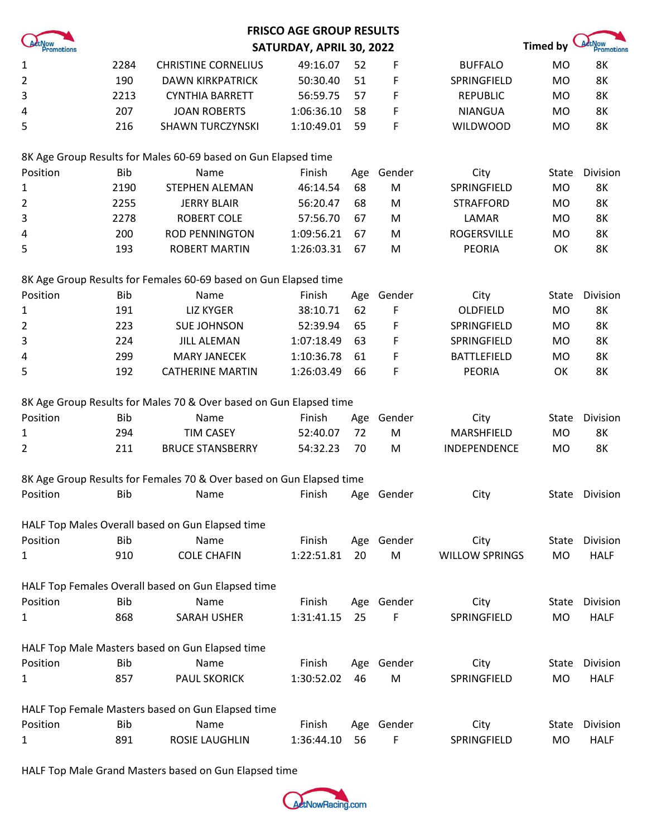|                |            |                                                                      | <b>FRISCO AGE GROUP RESULTS</b> |     |            |                       |           |                             |
|----------------|------------|----------------------------------------------------------------------|---------------------------------|-----|------------|-----------------------|-----------|-----------------------------|
| Promotions     |            |                                                                      | SATURDAY, APRIL 30, 2022        |     |            |                       | Timed by  | <b>ActNow</b><br>Promotions |
| $\mathbf{1}$   | 2284       | <b>CHRISTINE CORNELIUS</b>                                           | 49:16.07                        | 52  | F          | <b>BUFFALO</b>        | <b>MO</b> | 8K                          |
| $\overline{2}$ | 190        | <b>DAWN KIRKPATRICK</b>                                              | 50:30.40                        | 51  | F          | SPRINGFIELD           | <b>MO</b> | 8K                          |
| 3              | 2213       | <b>CYNTHIA BARRETT</b>                                               | 56:59.75                        | 57  | F          | <b>REPUBLIC</b>       | <b>MO</b> | <b>8K</b>                   |
| 4              | 207        | <b>JOAN ROBERTS</b>                                                  | 1:06:36.10                      | 58  | F          | <b>NIANGUA</b>        | <b>MO</b> | <b>8K</b>                   |
| 5              | 216        | <b>SHAWN TURCZYNSKI</b>                                              | 1:10:49.01                      | 59  | F          | <b>WILDWOOD</b>       | <b>MO</b> | 8K                          |
|                |            | 8K Age Group Results for Males 60-69 based on Gun Elapsed time       |                                 |     |            |                       |           |                             |
| Position       | <b>Bib</b> | Name                                                                 | Finish                          | Age | Gender     | City                  | State     | Division                    |
| $\mathbf{1}$   | 2190       | <b>STEPHEN ALEMAN</b>                                                | 46:14.54                        | 68  | ${\sf M}$  | SPRINGFIELD           | <b>MO</b> | 8K                          |
| $\overline{2}$ | 2255       | <b>JERRY BLAIR</b>                                                   | 56:20.47                        | 68  | M          | <b>STRAFFORD</b>      | <b>MO</b> | 8K                          |
| 3              | 2278       | <b>ROBERT COLE</b>                                                   | 57:56.70                        | 67  | M          | LAMAR                 | <b>MO</b> | 8K                          |
| 4              | 200        | <b>ROD PENNINGTON</b>                                                | 1:09:56.21                      | 67  | M          | <b>ROGERSVILLE</b>    | <b>MO</b> | 8K                          |
| 5              | 193        | <b>ROBERT MARTIN</b>                                                 | 1:26:03.31                      | 67  | M          | <b>PEORIA</b>         | OK        | 8K                          |
|                |            | 8K Age Group Results for Females 60-69 based on Gun Elapsed time     |                                 |     |            |                       |           |                             |
| Position       | <b>Bib</b> | Name                                                                 | Finish                          | Age | Gender     | City                  | State     | Division                    |
| 1              | 191        | <b>LIZ KYGER</b>                                                     | 38:10.71                        | 62  | F          | OLDFIELD              | <b>MO</b> | 8K                          |
| 2              | 223        | <b>SUE JOHNSON</b>                                                   | 52:39.94                        | 65  | F          | SPRINGFIELD           | <b>MO</b> | 8K                          |
| 3              | 224        | <b>JILL ALEMAN</b>                                                   | 1:07:18.49                      | 63  | F          | SPRINGFIELD           | <b>MO</b> | 8K                          |
| 4              | 299        | <b>MARY JANECEK</b>                                                  | 1:10:36.78                      | 61  | F          | <b>BATTLEFIELD</b>    | <b>MO</b> | 8K                          |
| 5              | 192        | <b>CATHERINE MARTIN</b>                                              | 1:26:03.49                      | 66  | F          | <b>PEORIA</b>         | OK        | 8K                          |
|                |            | 8K Age Group Results for Males 70 & Over based on Gun Elapsed time   |                                 |     |            |                       |           |                             |
| Position       | <b>Bib</b> | Name                                                                 | Finish                          | Age | Gender     | City                  | State     | Division                    |
| 1              | 294        | <b>TIM CASEY</b>                                                     | 52:40.07                        | 72  | M          | MARSHFIELD            | <b>MO</b> | 8K                          |
| 2              | 211        | <b>BRUCE STANSBERRY</b>                                              | 54:32.23                        | 70  | M          | INDEPENDENCE          | <b>MO</b> | 8K                          |
|                |            | 8K Age Group Results for Females 70 & Over based on Gun Elapsed time |                                 |     |            |                       |           |                             |
| Position       | <b>Bib</b> | Name                                                                 | Finish                          |     | Age Gender | City                  |           | State Division              |
|                |            | HALF Top Males Overall based on Gun Elapsed time                     |                                 |     |            |                       |           |                             |
| Position       | <b>Bib</b> | Name                                                                 | Finish                          |     | Age Gender | City                  | State     | Division                    |
| 1              | 910        | <b>COLE CHAFIN</b>                                                   | 1:22:51.81                      | 20  | M          | <b>WILLOW SPRINGS</b> | <b>MO</b> | <b>HALF</b>                 |
|                |            | HALF Top Females Overall based on Gun Elapsed time                   |                                 |     |            |                       |           |                             |
| Position       | <b>Bib</b> | Name                                                                 | Finish                          |     | Age Gender | City                  | State     | Division                    |
| 1              | 868        | <b>SARAH USHER</b>                                                   | 1:31:41.15                      | 25  | F          | SPRINGFIELD           | <b>MO</b> | <b>HALF</b>                 |
|                |            | HALF Top Male Masters based on Gun Elapsed time                      |                                 |     |            |                       |           |                             |
| Position       | <b>Bib</b> | Name                                                                 | Finish                          | Age | Gender     | City                  | State     | Division                    |
| $\mathbf{1}$   | 857        | <b>PAUL SKORICK</b>                                                  | 1:30:52.02                      | 46  | M          | SPRINGFIELD           | <b>MO</b> | <b>HALF</b>                 |
|                |            | HALF Top Female Masters based on Gun Elapsed time                    |                                 |     |            |                       |           |                             |
| Position       | <b>Bib</b> | Name                                                                 | Finish                          | Age | Gender     | City                  | State     | Division                    |
| 1              | 891        | ROSIE LAUGHLIN                                                       | 1:36:44.10                      | 56  | F          | SPRINGFIELD           | <b>MO</b> | <b>HALF</b>                 |

HALF Top Male Grand Masters based on Gun Elapsed time

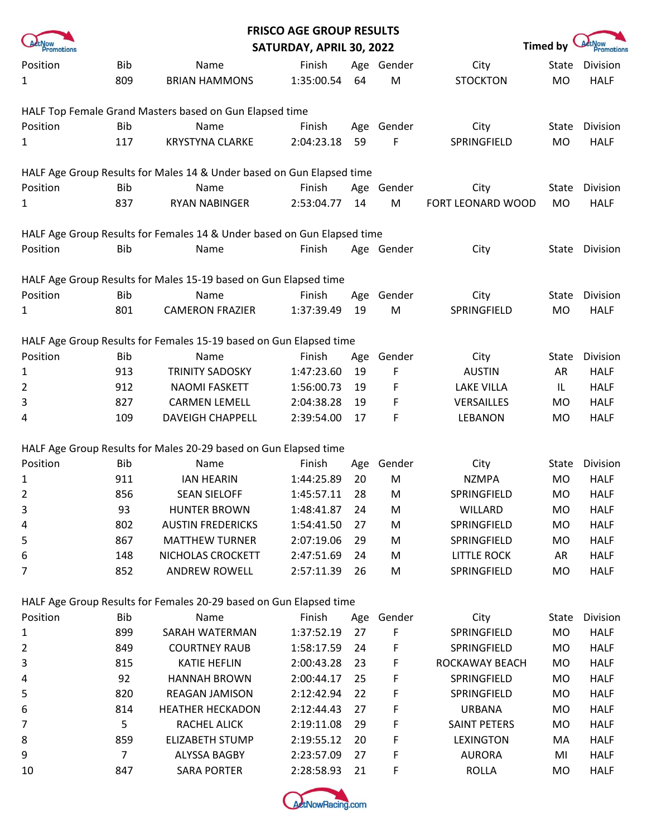|                |            |                                                                         | <b>FRISCO AGE GROUP RESULTS</b> |     |            |                    |              |             |
|----------------|------------|-------------------------------------------------------------------------|---------------------------------|-----|------------|--------------------|--------------|-------------|
| Promotions     |            |                                                                         | SATURDAY, APRIL 30, 2022        |     |            |                    | Timed by     | Promotions  |
| Position       | <b>Bib</b> | Name                                                                    | Finish                          |     | Age Gender | City               | <b>State</b> | Division    |
| 1              | 809        | <b>BRIAN HAMMONS</b>                                                    | 1:35:00.54                      | 64  | ${\sf M}$  | <b>STOCKTON</b>    | <b>MO</b>    | <b>HALF</b> |
|                |            |                                                                         |                                 |     |            |                    |              |             |
|                |            | HALF Top Female Grand Masters based on Gun Elapsed time                 |                                 |     |            |                    |              |             |
| Position       | <b>Bib</b> | Name                                                                    | Finish                          | Age | Gender     | City               | State        | Division    |
| 1              | 117        | <b>KRYSTYNA CLARKE</b>                                                  | 2:04:23.18                      | 59  | F          | SPRINGFIELD        | <b>MO</b>    | <b>HALF</b> |
|                |            |                                                                         |                                 |     |            |                    |              |             |
|                |            | HALF Age Group Results for Males 14 & Under based on Gun Elapsed time   |                                 |     |            |                    |              |             |
| Position       | <b>Bib</b> | Name                                                                    | Finish                          | Age | Gender     | City               | State        | Division    |
| 1              | 837        | RYAN NABINGER                                                           | 2:53:04.77                      | 14  | M          | FORT LEONARD WOOD  | <b>MO</b>    | <b>HALF</b> |
|                |            |                                                                         |                                 |     |            |                    |              |             |
|                |            | HALF Age Group Results for Females 14 & Under based on Gun Elapsed time |                                 |     |            |                    |              |             |
| Position       | <b>Bib</b> | Name                                                                    | Finish                          |     | Age Gender | City               | State        | Division    |
|                |            |                                                                         |                                 |     |            |                    |              |             |
|                |            | HALF Age Group Results for Males 15-19 based on Gun Elapsed time        |                                 |     |            |                    |              |             |
| Position       | <b>Bib</b> | Name                                                                    | Finish                          | Age | Gender     | City               | State        | Division    |
| $\mathbf{1}$   | 801        | <b>CAMERON FRAZIER</b>                                                  | 1:37:39.49                      | 19  | ${\sf M}$  | SPRINGFIELD        | <b>MO</b>    | <b>HALF</b> |
|                |            |                                                                         |                                 |     |            |                    |              |             |
|                |            | HALF Age Group Results for Females 15-19 based on Gun Elapsed time      |                                 |     |            |                    |              |             |
| Position       | <b>Bib</b> | Name                                                                    | Finish                          | Age | Gender     | City               | State        | Division    |
| $\mathbf{1}$   | 913        | <b>TRINITY SADOSKY</b>                                                  | 1:47:23.60                      | 19  | F          | <b>AUSTIN</b>      | AR           | <b>HALF</b> |
| $\overline{2}$ | 912        | <b>NAOMI FASKETT</b>                                                    | 1:56:00.73                      | 19  | F          | <b>LAKE VILLA</b>  | IL           | <b>HALF</b> |
| 3              | 827        | <b>CARMEN LEMELL</b>                                                    | 2:04:38.28                      | 19  | F          | VERSAILLES         | <b>MO</b>    | <b>HALF</b> |
| 4              | 109        | <b>DAVEIGH CHAPPELL</b>                                                 | 2:39:54.00                      | 17  | F          | <b>LEBANON</b>     | MO           | <b>HALF</b> |
|                |            |                                                                         |                                 |     |            |                    |              |             |
|                |            | HALF Age Group Results for Males 20-29 based on Gun Elapsed time        |                                 |     |            |                    |              |             |
| Position       | <b>Bib</b> | Name                                                                    | Finish                          | Age | Gender     | City               | State        | Division    |
| 1              | 911        | <b>IAN HEARIN</b>                                                       | 1:44:25.89                      | 20  | M          | <b>NZMPA</b>       | <b>MO</b>    | <b>HALF</b> |
| $\overline{2}$ | 856        | <b>SEAN SIELOFF</b>                                                     | 1:45:57.11                      | 28  | M          | SPRINGFIELD        | MO           | <b>HALF</b> |
| 3              | 93         | <b>HUNTER BROWN</b>                                                     | 1:48:41.87                      | 24  | M          | WILLARD            | MO           | <b>HALF</b> |
| 4              | 802        | <b>AUSTIN FREDERICKS</b>                                                | 1:54:41.50                      | 27  | M          | SPRINGFIELD        | MO           | <b>HALF</b> |
| 5              | 867        | <b>MATTHEW TURNER</b>                                                   | 2:07:19.06                      | 29  | M          | SPRINGFIELD        | MO           | <b>HALF</b> |
| 6              | 148        | NICHOLAS CROCKETT                                                       | 2:47:51.69                      | 24  | M          | <b>LITTLE ROCK</b> | AR           | <b>HALF</b> |
| 7              | 852        | ANDREW ROWELL                                                           | 2:57:11.39                      | 26  | M          | SPRINGFIELD        | MO           | <b>HALF</b> |
|                |            |                                                                         |                                 |     |            |                    |              |             |
|                |            | HALF Age Group Results for Females 20-29 based on Gun Elapsed time      |                                 |     |            |                    |              |             |
| Position       | <b>Bib</b> | Name                                                                    | Finish                          | Age | Gender     | City               | State        | Division    |
| 1              | 899        | SARAH WATERMAN                                                          | 1:37:52.19                      | 27  | F          | SPRINGFIELD        | MO           | <b>HALF</b> |
| 2              | 849        | <b>COURTNEY RAUB</b>                                                    | 1:58:17.59                      | 24  | F          | SPRINGFIELD        | MO           | <b>HALF</b> |
| 3              | 815        | <b>KATIE HEFLIN</b>                                                     | 2:00:43.28                      | 23  | F          | ROCKAWAY BEACH     | MO           | <b>HALF</b> |
| 4              | 92         | <b>HANNAH BROWN</b>                                                     | 2:00:44.17                      | 25  | F          | SPRINGFIELD        | MO           | <b>HALF</b> |
| 5              | 820        | REAGAN JAMISON                                                          | 2:12:42.94                      | 22  | F          | SPRINGFIELD        | MO           | <b>HALF</b> |
| 6              | 814        | <b>HEATHER HECKADON</b>                                                 | 2:12:44.43                      | 27  | F          | <b>URBANA</b>      | MO           | <b>HALF</b> |
| 7              | 5          | RACHEL ALICK                                                            | 2:19:11.08                      | 29  | F          | SAINT PETERS       | MO           | <b>HALF</b> |
| 8              | 859        | <b>ELIZABETH STUMP</b>                                                  | 2:19:55.12                      | 20  | F          | <b>LEXINGTON</b>   | MA           | <b>HALF</b> |
| 9              | 7          | ALYSSA BAGBY                                                            | 2:23:57.09                      | 27  | F          | <b>AURORA</b>      | MI           | <b>HALF</b> |
| 10             | 847        | <b>SARA PORTER</b>                                                      | 2:28:58.93                      | 21  | F          | <b>ROLLA</b>       | MO           | <b>HALF</b> |
|                |            |                                                                         |                                 |     |            |                    |              |             |

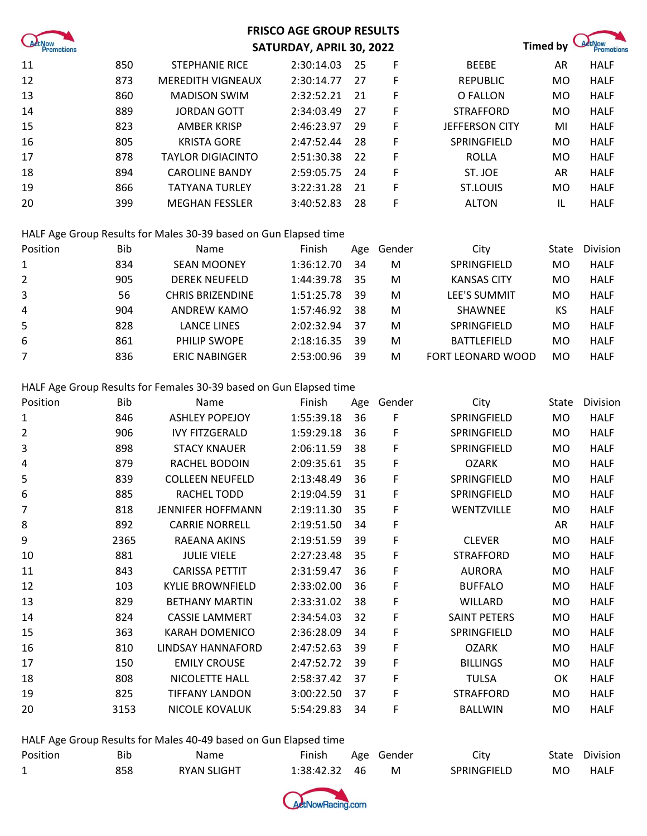| Act Now |  |
|---------|--|

#### **FRISCO AGE GROUP RESULTS SATURDAY, APRIL 30, 2022 Timed by** *A***thow**

| 11 | 850 | <b>STEPHANIE RICE</b>    | 2:30:14.03 | -25 | F | <b>BEEBE</b>          | AR        | <b>HALF</b> |
|----|-----|--------------------------|------------|-----|---|-----------------------|-----------|-------------|
| 12 | 873 | <b>MEREDITH VIGNEAUX</b> | 2:30:14.77 | 27  | F | <b>REPUBLIC</b>       | MO        | <b>HALF</b> |
| 13 | 860 | <b>MADISON SWIM</b>      | 2:32:52.21 | -21 | F | O FALLON              | MO        | <b>HALF</b> |
| 14 | 889 | <b>JORDAN GOTT</b>       | 2:34:03.49 | 27  | F | <b>STRAFFORD</b>      | MO        | <b>HALF</b> |
| 15 | 823 | AMBER KRISP              | 2:46:23.97 | 29  | F | <b>JEFFERSON CITY</b> | MI        | <b>HALF</b> |
| 16 | 805 | <b>KRISTA GORE</b>       | 2:47:52.44 | -28 | F | SPRINGFIELD           | MO        | <b>HALF</b> |
| 17 | 878 | TAYLOR DIGIACINTO        | 2:51:30.38 | -22 | F | ROLLA                 | MO        | <b>HALF</b> |
| 18 | 894 | <b>CAROLINE BANDY</b>    | 2:59:05.75 | -24 | F | ST. JOE               | AR        | <b>HALF</b> |
| 19 | 866 | <b>TATYANA TURLEY</b>    | 3:22:31.28 | -21 | F | ST.LOUIS              | <b>MO</b> | <b>HALF</b> |
| 20 | 399 | <b>MEGHAN FESSLER</b>    | 3:40:52.83 | 28  | F | <b>ALTON</b>          |           | <b>HALF</b> |

HALF Age Group Results for Males 30-39 based on Gun Elapsed time

| Position | Bib | Name                    | Finish     | Age | Gender | City                     | State | Division    |
|----------|-----|-------------------------|------------|-----|--------|--------------------------|-------|-------------|
| 1        | 834 | <b>SEAN MOONEY</b>      | 1:36:12.70 | 34  | M      | SPRINGFIELD              | MO    | <b>HALF</b> |
| 2        | 905 | <b>DEREK NEUFELD</b>    | 1:44:39.78 | 35  | M      | <b>KANSAS CITY</b>       | MO    | <b>HALF</b> |
| 3        | 56  | <b>CHRIS BRIZENDINE</b> | 1:51:25.78 | 39  | M      | <b>LEE'S SUMMIT</b>      | MO    | <b>HALF</b> |
| 4        | 904 | ANDREW KAMO             | 1:57:46.92 | 38  | M      | <b>SHAWNEE</b>           | ΚS    | <b>HALF</b> |
| 5        | 828 | <b>LANCE LINES</b>      | 2:02:32.94 | 37  | M      | SPRINGFIELD              | MO    | <b>HALF</b> |
| 6        | 861 | <b>PHILIP SWOPE</b>     | 2:18:16.35 | -39 | M      | BATTLEFIELD              | MO    | <b>HALF</b> |
|          | 836 | <b>ERIC NABINGER</b>    | 2:53:00.96 | 39  | М      | <b>FORT LEONARD WOOD</b> | MO    | <b>HALF</b> |

HALF Age Group Results for Females 30-39 based on Gun Elapsed time

| Position | <b>Bib</b> | Name                     | Finish     | Age | Gender | City                | State | Division    |
|----------|------------|--------------------------|------------|-----|--------|---------------------|-------|-------------|
| 1        | 846        | <b>ASHLEY POPEJOY</b>    | 1:55:39.18 | 36  | F      | SPRINGFIELD         | MO.   | <b>HALF</b> |
| 2        | 906        | <b>IVY FITZGERALD</b>    | 1:59:29.18 | 36  | F      | SPRINGFIELD         | MO.   | <b>HALF</b> |
| 3        | 898        | <b>STACY KNAUER</b>      | 2:06:11.59 | 38  | F      | SPRINGFIELD         | MO.   | <b>HALF</b> |
| 4        | 879        | RACHEL BODOIN            | 2:09:35.61 | 35  | F      | <b>OZARK</b>        | MO.   | <b>HALF</b> |
| 5        | 839        | <b>COLLEEN NEUFELD</b>   | 2:13:48.49 | 36  | F      | SPRINGFIELD         | MO.   | <b>HALF</b> |
| 6        | 885        | RACHEL TODD              | 2:19:04.59 | 31  | F      | SPRINGFIELD         | MO.   | <b>HALF</b> |
| 7        | 818        | <b>JENNIFER HOFFMANN</b> | 2:19:11.30 | 35  | F      | WENTZVILLE          | MO    | <b>HALF</b> |
| 8        | 892        | <b>CARRIE NORRELL</b>    | 2:19:51.50 | 34  | F      |                     | AR    | <b>HALF</b> |
| 9        | 2365       | RAEANA AKINS             | 2:19:51.59 | 39  | F      | <b>CLEVER</b>       | MO.   | <b>HALF</b> |
| 10       | 881        | <b>JULIE VIELE</b>       | 2:27:23.48 | 35  | F      | <b>STRAFFORD</b>    | MO.   | <b>HALF</b> |
| 11       | 843        | <b>CARISSA PETTIT</b>    | 2:31:59.47 | 36  | F      | <b>AURORA</b>       | MO.   | <b>HALF</b> |
| 12       | 103        | <b>KYLIE BROWNFIELD</b>  | 2:33:02.00 | 36  | F      | <b>BUFFALO</b>      | MO.   | <b>HALF</b> |
| 13       | 829        | <b>BETHANY MARTIN</b>    | 2:33:31.02 | 38  | F      | WILLARD             | MO.   | <b>HALF</b> |
| 14       | 824        | <b>CASSIE LAMMERT</b>    | 2:34:54.03 | 32  | F      | <b>SAINT PETERS</b> | MO.   | <b>HALF</b> |
| 15       | 363        | <b>KARAH DOMENICO</b>    | 2:36:28.09 | 34  | F      | SPRINGFIELD         | MO.   | <b>HALF</b> |
| 16       | 810        | LINDSAY HANNAFORD        | 2:47:52.63 | 39  | F      | <b>OZARK</b>        | MO    | <b>HALF</b> |
| 17       | 150        | <b>EMILY CROUSE</b>      | 2:47:52.72 | 39  | F      | <b>BILLINGS</b>     | MO.   | <b>HALF</b> |
| 18       | 808        | NICOLETTE HALL           | 2:58:37.42 | 37  | F      | <b>TULSA</b>        | OK    | <b>HALF</b> |
| 19       | 825        | <b>TIFFANY LANDON</b>    | 3:00:22.50 | 37  | F      | <b>STRAFFORD</b>    | MO    | <b>HALF</b> |
| 20       | 3153       | <b>NICOLE KOVALUK</b>    | 5:54:29.83 | 34  | F      | <b>BALLWIN</b>      | MO    | <b>HALF</b> |

HALF Age Group Results for Males 40-49 based on Gun Elapsed time

| Position | Bib | <b>Name</b>        | Finish        | Age Gender | City        |           | State Division |
|----------|-----|--------------------|---------------|------------|-------------|-----------|----------------|
|          | 858 | <b>RYAN SLIGHT</b> | 1:38:42.32 46 | M          | SPRINGFIELD | <b>MO</b> | HALF           |

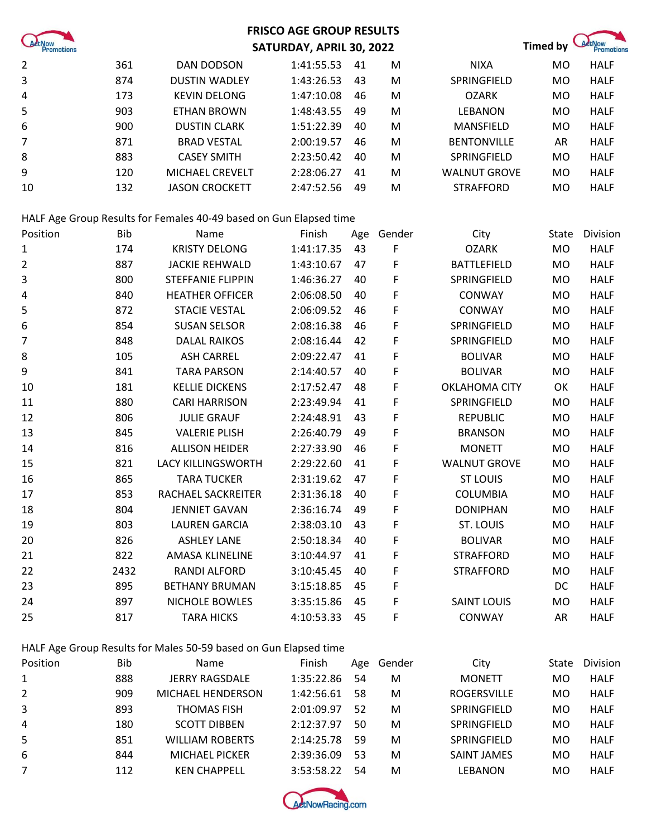

### **FRISCO AGE GROUP RESULTS SATURDAY, APRIL 30, 2022 Timed by <b>CAREL**



| $\overline{2}$ | 361 | DAN DODSON            | 1:41:55.53 | 41 | M | <b>NIXA</b>         | MO | <b>HALF</b> |
|----------------|-----|-----------------------|------------|----|---|---------------------|----|-------------|
| 3              | 874 | <b>DUSTIN WADLEY</b>  | 1:43:26.53 | 43 | M | SPRINGFIELD         | MO | <b>HALF</b> |
| 4              | 173 | <b>KEVIN DELONG</b>   | 1:47:10.08 | 46 | M | <b>OZARK</b>        | MO | <b>HALF</b> |
| 5              | 903 | ETHAN BROWN           | 1:48:43.55 | 49 | M | LEBANON             | MO | <b>HALF</b> |
| 6              | 900 | <b>DUSTIN CLARK</b>   | 1:51:22.39 | 40 | M | <b>MANSFIELD</b>    | MO | <b>HALF</b> |
| $\overline{7}$ | 871 | <b>BRAD VESTAL</b>    | 2:00:19.57 | 46 | M | <b>BENTONVILLE</b>  | AR | <b>HALF</b> |
| 8              | 883 | <b>CASEY SMITH</b>    | 2:23:50.42 | 40 | M | SPRINGFIELD         | MO | <b>HALF</b> |
| 9              | 120 | MICHAEL CREVELT       | 2:28:06.27 | 41 | M | <b>WALNUT GROVE</b> | MO | <b>HALF</b> |
| 10             | 132 | <b>JASON CROCKETT</b> | 2:47:52.56 | 49 | M | <b>STRAFFORD</b>    | MO | <b>HALF</b> |

#### HALF Age Group Results for Females 40-49 based on Gun Elapsed time

| Position | <b>Bib</b> | Name                      | Finish     | Age | Gender | City                 | State     | Division    |
|----------|------------|---------------------------|------------|-----|--------|----------------------|-----------|-------------|
| 1        | 174        | <b>KRISTY DELONG</b>      | 1:41:17.35 | 43  | F      | <b>OZARK</b>         | <b>MO</b> | <b>HALF</b> |
| 2        | 887        | <b>JACKIE REHWALD</b>     | 1:43:10.67 | 47  | F      | <b>BATTLEFIELD</b>   | MO.       | <b>HALF</b> |
| 3        | 800        | <b>STEFFANIE FLIPPIN</b>  | 1:46:36.27 | 40  | F      | SPRINGFIELD          | <b>MO</b> | <b>HALF</b> |
| 4        | 840        | <b>HEATHER OFFICER</b>    | 2:06:08.50 | 40  | F      | CONWAY               | <b>MO</b> | <b>HALF</b> |
| 5        | 872        | <b>STACIE VESTAL</b>      | 2:06:09.52 | 46  | F      | CONWAY               | <b>MO</b> | <b>HALF</b> |
| 6        | 854        | <b>SUSAN SELSOR</b>       | 2:08:16.38 | 46  | F      | SPRINGFIELD          | MO        | <b>HALF</b> |
| 7        | 848        | <b>DALAL RAIKOS</b>       | 2:08:16.44 | 42  | F      | SPRINGFIELD          | <b>MO</b> | <b>HALF</b> |
| 8        | 105        | <b>ASH CARREL</b>         | 2:09:22.47 | 41  | F      | <b>BOLIVAR</b>       | <b>MO</b> | <b>HALF</b> |
| 9        | 841        | <b>TARA PARSON</b>        | 2:14:40.57 | 40  | F      | <b>BOLIVAR</b>       | <b>MO</b> | <b>HALF</b> |
| 10       | 181        | <b>KELLIE DICKENS</b>     | 2:17:52.47 | 48  | F      | <b>OKLAHOMA CITY</b> | OK        | <b>HALF</b> |
| 11       | 880        | <b>CARI HARRISON</b>      | 2:23:49.94 | 41  | F      | SPRINGFIELD          | MO        | <b>HALF</b> |
| 12       | 806        | <b>JULIE GRAUF</b>        | 2:24:48.91 | 43  | F      | <b>REPUBLIC</b>      | <b>MO</b> | <b>HALF</b> |
| 13       | 845        | <b>VALERIE PLISH</b>      | 2:26:40.79 | 49  | F      | <b>BRANSON</b>       | MO        | <b>HALF</b> |
| 14       | 816        | <b>ALLISON HEIDER</b>     | 2:27:33.90 | 46  | F      | <b>MONETT</b>        | <b>MO</b> | <b>HALF</b> |
| 15       | 821        | <b>LACY KILLINGSWORTH</b> | 2:29:22.60 | 41  | F      | <b>WALNUT GROVE</b>  | MO        | <b>HALF</b> |
| 16       | 865        | <b>TARA TUCKER</b>        | 2:31:19.62 | 47  | F      | <b>ST LOUIS</b>      | <b>MO</b> | <b>HALF</b> |
| 17       | 853        | RACHAEL SACKREITER        | 2:31:36.18 | 40  | F      | <b>COLUMBIA</b>      | <b>MO</b> | <b>HALF</b> |
| 18       | 804        | <b>JENNIET GAVAN</b>      | 2:36:16.74 | 49  | F      | <b>DONIPHAN</b>      | MO        | <b>HALF</b> |
| 19       | 803        | <b>LAUREN GARCIA</b>      | 2:38:03.10 | 43  | F      | ST. LOUIS            | <b>MO</b> | <b>HALF</b> |
| 20       | 826        | <b>ASHLEY LANE</b>        | 2:50:18.34 | 40  | F      | <b>BOLIVAR</b>       | MO        | <b>HALF</b> |
| 21       | 822        | <b>AMASA KLINELINE</b>    | 3:10:44.97 | 41  | F      | <b>STRAFFORD</b>     | <b>MO</b> | <b>HALF</b> |
| 22       | 2432       | <b>RANDI ALFORD</b>       | 3:10:45.45 | 40  | F      | <b>STRAFFORD</b>     | MO        | <b>HALF</b> |
| 23       | 895        | <b>BETHANY BRUMAN</b>     | 3:15:18.85 | 45  | F      |                      | DC        | <b>HALF</b> |
| 24       | 897        | <b>NICHOLE BOWLES</b>     | 3:35:15.86 | 45  | F      | <b>SAINT LOUIS</b>   | MO        | <b>HALF</b> |
| 25       | 817        | <b>TARA HICKS</b>         | 4:10:53.33 | 45  | F      | CONWAY               | AR        | <b>HALF</b> |

#### HALF Age Group Results for Males 50-59 based on Gun Elapsed time

| Position       | Bib | <b>Name</b>              | Finish     | Age | Gender | City               | State | <b>Division</b> |
|----------------|-----|--------------------------|------------|-----|--------|--------------------|-------|-----------------|
| $\mathbf{1}$   | 888 | <b>JERRY RAGSDALE</b>    | 1:35:22.86 | 54  | M      | <b>MONETT</b>      | MO    | <b>HALF</b>     |
| $\overline{2}$ | 909 | <b>MICHAEL HENDERSON</b> | 1:42:56.61 | 58  | M      | <b>ROGERSVILLE</b> | MO    | <b>HALF</b>     |
| 3              | 893 | <b>THOMAS FISH</b>       | 2:01:09.97 | 52  | M      | SPRINGFIELD        | MO    | <b>HALF</b>     |
| 4              | 180 | <b>SCOTT DIBBEN</b>      | 2:12:37.97 | 50  | M      | SPRINGFIELD        | MO    | <b>HALF</b>     |
| 5              | 851 | <b>WILLIAM ROBERTS</b>   | 2:14:25.78 | 59  | M      | SPRINGFIELD        | MO    | <b>HALF</b>     |
| 6              | 844 | <b>MICHAEL PICKER</b>    | 2:39:36.09 | 53  | M      | <b>SAINT JAMES</b> | MO    | <b>HALF</b>     |
|                | 112 | <b>KEN CHAPPELL</b>      | 3:53:58.22 | 54  | M      | LEBANON            | MO    | <b>HALF</b>     |

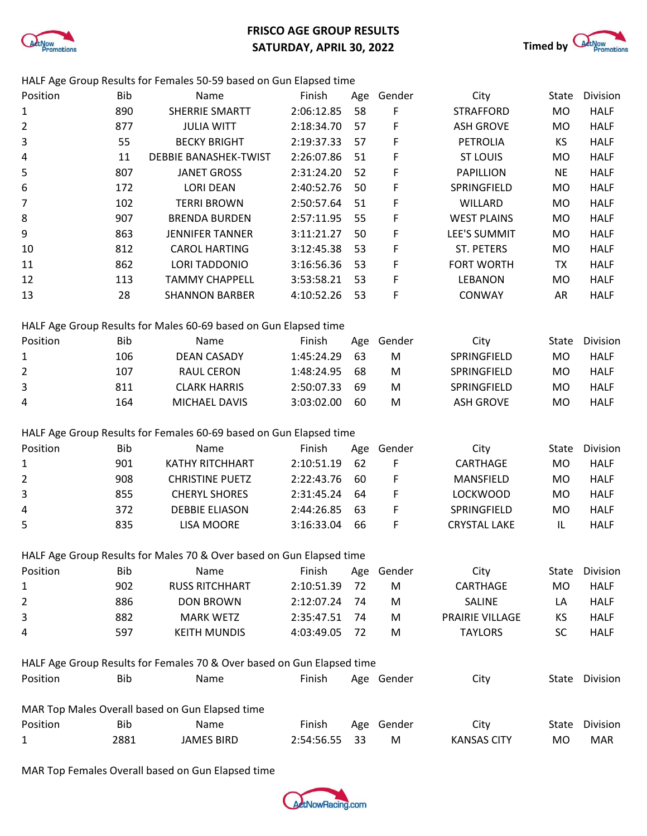

## **FRISCO AGE GROUP RESULTS SATURDAY, APRIL 30, 2022 Timed by** *QEENOW*



HALF Age Group Results for Females 50-59 based on Gun Elapsed time

| Position       | <b>Bib</b> | Name                                                                   | Finish     | Age              | Gender           | City                | State       | Division       |
|----------------|------------|------------------------------------------------------------------------|------------|------------------|------------------|---------------------|-------------|----------------|
| $\mathbf{1}$   | 890        | SHERRIE SMARTT<br>2:06:12.85<br>58                                     |            | F                | <b>STRAFFORD</b> | <b>MO</b>           | <b>HALF</b> |                |
| $\overline{2}$ | 877        | F<br><b>JULIA WITT</b><br>2:18:34.70<br>57                             |            | <b>ASH GROVE</b> | <b>MO</b>        | <b>HALF</b>         |             |                |
| 3              | 55         | <b>BECKY BRIGHT</b>                                                    | 2:19:37.33 | 57               | F                | PETROLIA            | KS          | <b>HALF</b>    |
| 4              | 11         | <b>DEBBIE BANASHEK-TWIST</b>                                           | 2:26:07.86 | 51               | F                | <b>ST LOUIS</b>     | <b>MO</b>   | <b>HALF</b>    |
| 5              | 807        | <b>JANET GROSS</b>                                                     | 2:31:24.20 | 52               | F                | <b>PAPILLION</b>    | <b>NE</b>   | <b>HALF</b>    |
| 6              | 172        | <b>LORI DEAN</b>                                                       | 2:40:52.76 | 50               | F                | SPRINGFIELD         | <b>MO</b>   | <b>HALF</b>    |
| 7              | 102        | <b>TERRI BROWN</b>                                                     | 2:50:57.64 | 51               | F                | WILLARD             | <b>MO</b>   | <b>HALF</b>    |
| 8              | 907        | <b>BRENDA BURDEN</b>                                                   | 2:57:11.95 | 55               | F                | <b>WEST PLAINS</b>  | <b>MO</b>   | <b>HALF</b>    |
| 9              | 863        | <b>JENNIFER TANNER</b>                                                 | 3:11:21.27 | 50               | F                | LEE'S SUMMIT        | <b>MO</b>   | <b>HALF</b>    |
| 10             | 812        | <b>CAROL HARTING</b>                                                   | 3:12:45.38 | 53               | F                | ST. PETERS          | MO          | <b>HALF</b>    |
| 11             | 862        | <b>LORI TADDONIO</b>                                                   | 3:16:56.36 | 53               | F                | FORT WORTH          | <b>TX</b>   | <b>HALF</b>    |
| 12             | 113        | <b>TAMMY CHAPPELL</b>                                                  | 3:53:58.21 | 53               | F                | LEBANON             | MO          | <b>HALF</b>    |
| 13             | 28         | <b>SHANNON BARBER</b>                                                  | 4:10:52.26 | 53               | F                | CONWAY              | AR          | <b>HALF</b>    |
|                |            | HALF Age Group Results for Males 60-69 based on Gun Elapsed time       |            |                  |                  |                     |             |                |
| Position       | <b>Bib</b> | Name                                                                   | Finish     | Age              | Gender           | City                | State       | Division       |
| $\mathbf{1}$   | 106        | <b>DEAN CASADY</b>                                                     | 1:45:24.29 | 63               | ${\sf M}$        | SPRINGFIELD         | <b>MO</b>   | <b>HALF</b>    |
| 2              | 107        | <b>RAUL CERON</b>                                                      | 1:48:24.95 | 68               | M                | SPRINGFIELD         | <b>MO</b>   | <b>HALF</b>    |
| 3              | 811        | <b>CLARK HARRIS</b>                                                    | 2:50:07.33 | 69               | ${\sf M}$        | SPRINGFIELD         | <b>MO</b>   | <b>HALF</b>    |
| 4              | 164        | MICHAEL DAVIS                                                          | 3:03:02.00 | 60               | ${\sf M}$        | <b>ASH GROVE</b>    | MO          | <b>HALF</b>    |
|                |            |                                                                        |            |                  |                  |                     |             |                |
|                |            | HALF Age Group Results for Females 60-69 based on Gun Elapsed time     |            |                  |                  |                     |             |                |
| Position       | <b>Bib</b> | Name                                                                   | Finish     | Age              | Gender           | City                | State       | Division       |
| $\mathbf{1}$   | 901        | KATHY RITCHHART                                                        | 2:10:51.19 | 62               | F                | CARTHAGE            | <b>MO</b>   | <b>HALF</b>    |
| 2              | 908        | <b>CHRISTINE PUETZ</b>                                                 | 2:22:43.76 | 60               | F                | MANSFIELD           | <b>MO</b>   | <b>HALF</b>    |
| 3              | 855        | <b>CHERYL SHORES</b>                                                   | 2:31:45.24 | 64               | F                | <b>LOCKWOOD</b>     | <b>MO</b>   | <b>HALF</b>    |
| $\overline{a}$ | 372        | <b>DEBBIE ELIASON</b>                                                  | 2:44:26.85 | 63               | F                | SPRINGFIELD         | MO          | <b>HALF</b>    |
| 5              | 835        | <b>LISA MOORE</b>                                                      | 3:16:33.04 | 66               | F                | <b>CRYSTAL LAKE</b> | IL          | <b>HALF</b>    |
|                |            | HALF Age Group Results for Males 70 & Over based on Gun Elapsed time   |            |                  |                  |                     |             |                |
| Position       | <b>Bib</b> | Name                                                                   | Finish     |                  | Age Gender       | City                | State       | Division       |
| $\mathbf{1}$   | 902        | <b>RUSS RITCHHART</b>                                                  | 2:10:51.39 | 72               | M                | CARTHAGE            | MO          | <b>HALF</b>    |
| 2              | 886        | <b>DON BROWN</b>                                                       | 2:12:07.24 | 74               | M                | SALINE              | LA          | <b>HALF</b>    |
| 3              | 882        | <b>MARK WETZ</b>                                                       | 2:35:47.51 | 74               | M                | PRAIRIE VILLAGE     | KS          | <b>HALF</b>    |
| 4              | 597        | <b>KEITH MUNDIS</b>                                                    | 4:03:49.05 | 72               | M                | <b>TAYLORS</b>      | <b>SC</b>   | <b>HALF</b>    |
|                |            |                                                                        |            |                  |                  |                     |             |                |
|                |            | HALF Age Group Results for Females 70 & Over based on Gun Elapsed time |            |                  |                  |                     |             |                |
| Position       | <b>Bib</b> | Name                                                                   | Finish     |                  | Age Gender       | City                |             | State Division |
|                |            | MAR Top Males Overall based on Gun Elapsed time                        |            |                  |                  |                     |             |                |
| Position       | <b>Bib</b> | Name                                                                   | Finish     |                  | Age Gender       | City                | State       | Division       |
| $\mathbf{1}$   | 2881       | <b>JAMES BIRD</b>                                                      | 2:54:56.55 | 33               | M                | <b>KANSAS CITY</b>  | MO          | <b>MAR</b>     |

MAR Top Females Overall based on Gun Elapsed time

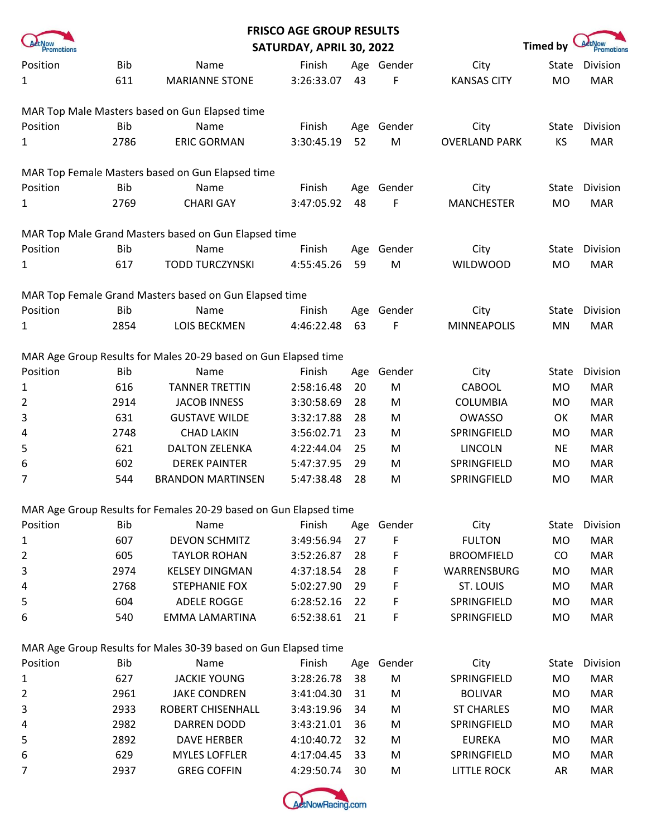|                |            |                                                                   | <b>FRISCO AGE GROUP RESULTS</b> |     |            |                      |                 |            |
|----------------|------------|-------------------------------------------------------------------|---------------------------------|-----|------------|----------------------|-----------------|------------|
| Promotions     |            |                                                                   | SATURDAY, APRIL 30, 2022        |     |            |                      | <b>Timed by</b> | Promotions |
| Position       | <b>Bib</b> | Name                                                              | Finish                          |     | Age Gender | City                 | State           | Division   |
| 1              | 611        | <b>MARIANNE STONE</b>                                             | 3:26:33.07                      | 43  | F          | <b>KANSAS CITY</b>   | <b>MO</b>       | <b>MAR</b> |
|                |            | MAR Top Male Masters based on Gun Elapsed time                    |                                 |     |            |                      |                 |            |
| Position       | <b>Bib</b> | Name                                                              | Finish                          | Age | Gender     | City                 | State           | Division   |
| 1              | 2786       | <b>ERIC GORMAN</b>                                                | 3:30:45.19                      | 52  | M          | <b>OVERLAND PARK</b> | KS              | <b>MAR</b> |
|                |            | MAR Top Female Masters based on Gun Elapsed time                  |                                 |     |            |                      |                 |            |
| Position       | <b>Bib</b> | Name                                                              | Finish                          | Age | Gender     | City                 | State           | Division   |
| 1              | 2769       | <b>CHARI GAY</b>                                                  | 3:47:05.92                      | 48  | F          | <b>MANCHESTER</b>    | <b>MO</b>       | <b>MAR</b> |
|                |            | MAR Top Male Grand Masters based on Gun Elapsed time              |                                 |     |            |                      |                 |            |
| Position       | <b>Bib</b> | Name                                                              | Finish                          | Age | Gender     | City                 | State           | Division   |
| 1              | 617        | <b>TODD TURCZYNSKI</b>                                            | 4:55:45.26                      | 59  | M          | <b>WILDWOOD</b>      | <b>MO</b>       | <b>MAR</b> |
|                |            | MAR Top Female Grand Masters based on Gun Elapsed time            |                                 |     |            |                      |                 |            |
| Position       | <b>Bib</b> | Name                                                              | Finish                          | Age | Gender     | City                 | State           | Division   |
| 1              | 2854       | <b>LOIS BECKMEN</b>                                               | 4:46:22.48                      | 63  | F          | <b>MINNEAPOLIS</b>   | MN              | <b>MAR</b> |
|                |            | MAR Age Group Results for Males 20-29 based on Gun Elapsed time   |                                 |     |            |                      |                 |            |
| Position       | <b>Bib</b> | Name                                                              | Finish                          | Age | Gender     | City                 | State           | Division   |
| 1              | 616        | <b>TANNER TRETTIN</b>                                             | 2:58:16.48                      | 20  | M          | CABOOL               | <b>MO</b>       | <b>MAR</b> |
| $\overline{2}$ | 2914       | <b>JACOB INNESS</b>                                               | 3:30:58.69                      | 28  | M          | <b>COLUMBIA</b>      | <b>MO</b>       | <b>MAR</b> |
| 3              | 631        | <b>GUSTAVE WILDE</b>                                              | 3:32:17.88                      | 28  | M          | <b>OWASSO</b>        | OK              | <b>MAR</b> |
| 4              | 2748       | <b>CHAD LAKIN</b>                                                 | 3:56:02.71                      | 23  | M          | SPRINGFIELD          | <b>MO</b>       | <b>MAR</b> |
| 5              | 621        | <b>DALTON ZELENKA</b>                                             | 4:22:44.04                      | 25  | M          | <b>LINCOLN</b>       | <b>NE</b>       | <b>MAR</b> |
| 6              | 602        | <b>DEREK PAINTER</b>                                              | 5:47:37.95                      | 29  | M          | SPRINGFIELD          | <b>MO</b>       | <b>MAR</b> |
| 7              | 544        | <b>BRANDON MARTINSEN</b>                                          | 5:47:38.48                      | 28  | M          | SPRINGFIELD          | <b>MO</b>       | <b>MAR</b> |
|                |            | MAR Age Group Results for Females 20-29 based on Gun Elapsed time |                                 |     |            |                      |                 |            |
| Position       | Bib        | Name                                                              | Finish                          | Age | Gender     | City                 | State           | Division   |
| $\mathbf{1}$   | 607        | <b>DEVON SCHMITZ</b>                                              | 3:49:56.94                      | 27  | F          | <b>FULTON</b>        | <b>MO</b>       | <b>MAR</b> |
| 2              | 605        | <b>TAYLOR ROHAN</b>                                               | 3:52:26.87                      | 28  | F          | <b>BROOMFIELD</b>    | CO              | <b>MAR</b> |
| 3              | 2974       | <b>KELSEY DINGMAN</b>                                             | 4:37:18.54                      | 28  | F          | WARRENSBURG          | MO              | <b>MAR</b> |
| 4              | 2768       | <b>STEPHANIE FOX</b>                                              | 5:02:27.90                      | 29  | F          | ST. LOUIS            | <b>MO</b>       | <b>MAR</b> |
| 5              | 604        | <b>ADELE ROGGE</b>                                                | 6:28:52.16                      | 22  | F          | SPRINGFIELD          | <b>MO</b>       | <b>MAR</b> |
| 6              | 540        | EMMA LAMARTINA                                                    | 6:52:38.61                      | 21  | F          | SPRINGFIELD          | MO              | <b>MAR</b> |
|                |            | MAR Age Group Results for Males 30-39 based on Gun Elapsed time   |                                 |     |            |                      |                 |            |
| Position       | Bib        | Name                                                              | Finish                          | Age | Gender     | City                 | State           | Division   |
| 1              | 627        | <b>JACKIE YOUNG</b>                                               | 3:28:26.78                      | 38  | M          | SPRINGFIELD          | <b>MO</b>       | <b>MAR</b> |
| 2              | 2961       | <b>JAKE CONDREN</b>                                               | 3:41:04.30                      | 31  | M          | <b>BOLIVAR</b>       | MO              | <b>MAR</b> |
| 3              | 2933       | ROBERT CHISENHALL                                                 | 3:43:19.96                      | 34  | M          | <b>ST CHARLES</b>    | MO              | <b>MAR</b> |
| 4              | 2982       | <b>DARREN DODD</b>                                                | 3:43:21.01                      | 36  | M          | SPRINGFIELD          | <b>MO</b>       | <b>MAR</b> |
| 5              | 2892       | <b>DAVE HERBER</b>                                                | 4:10:40.72                      | 32  | M          | <b>EUREKA</b>        | <b>MO</b>       | <b>MAR</b> |
| 6              | 629        | <b>MYLES LOFFLER</b>                                              | 4:17:04.45                      | 33  | M          | SPRINGFIELD          | <b>MO</b>       | <b>MAR</b> |
| 7              | 2937       | <b>GREG COFFIN</b>                                                | 4:29:50.74                      | 30  | M          | <b>LITTLE ROCK</b>   | AR              | <b>MAR</b> |

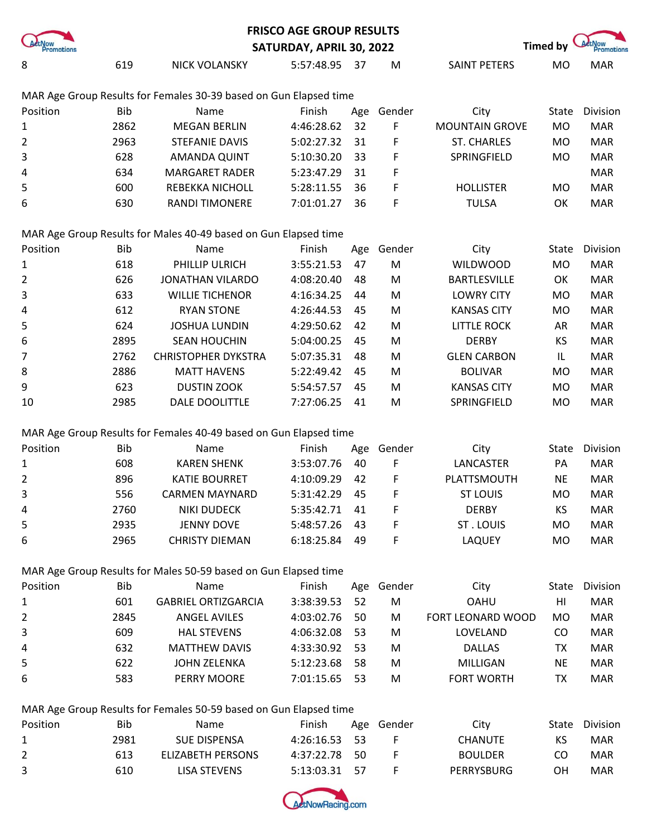|                                                                   |            |                                                                   | <b>FRISCO AGE GROUP RESULTS</b> |     |        |                       |                 |                      |  |  |  |
|-------------------------------------------------------------------|------------|-------------------------------------------------------------------|---------------------------------|-----|--------|-----------------------|-----------------|----------------------|--|--|--|
| Promotions                                                        |            |                                                                   | SATURDAY, APRIL 30, 2022        |     |        |                       | <b>Timed by</b> | ActNow<br>Promotions |  |  |  |
| 8                                                                 | 619        | <b>NICK VOLANSKY</b>                                              | 5:57:48.95                      | 37  | M      | SAINT PETERS          | <b>MO</b>       | <b>MAR</b>           |  |  |  |
| MAR Age Group Results for Females 30-39 based on Gun Elapsed time |            |                                                                   |                                 |     |        |                       |                 |                      |  |  |  |
| Position                                                          | <b>Bib</b> | Name                                                              | Finish                          | Age | Gender | City                  | State           | Division             |  |  |  |
| 1                                                                 | 2862       | <b>MEGAN BERLIN</b>                                               | 4:46:28.62                      | 32  | F      | <b>MOUNTAIN GROVE</b> | <b>MO</b>       | <b>MAR</b>           |  |  |  |
| $\overline{2}$                                                    | 2963       | <b>STEFANIE DAVIS</b>                                             | 5:02:27.32                      | 31  | F      | <b>ST. CHARLES</b>    | <b>MO</b>       | <b>MAR</b>           |  |  |  |
| 3                                                                 | 628        | AMANDA QUINT                                                      | 5:10:30.20                      | 33  | F      | SPRINGFIELD           | <b>MO</b>       | <b>MAR</b>           |  |  |  |
| 4                                                                 | 634        | <b>MARGARET RADER</b>                                             | 5:23:47.29                      | 31  | F      |                       |                 | <b>MAR</b>           |  |  |  |
| 5                                                                 | 600        | REBEKKA NICHOLL                                                   | 5:28:11.55                      | 36  | F      | <b>HOLLISTER</b>      | <b>MO</b>       | <b>MAR</b>           |  |  |  |
| 6                                                                 | 630        | RANDI TIMONERE                                                    | 7:01:01.27                      | 36  | F      | <b>TULSA</b>          | OK              | <b>MAR</b>           |  |  |  |
|                                                                   |            | MAR Age Group Results for Males 40-49 based on Gun Elapsed time   |                                 |     |        |                       |                 |                      |  |  |  |
| Position                                                          | <b>Bib</b> | Name                                                              | Finish                          | Age | Gender | City                  | State           | Division             |  |  |  |
| 1                                                                 | 618        | PHILLIP ULRICH                                                    | 3:55:21.53                      | 47  | M      | <b>WILDWOOD</b>       | <b>MO</b>       | <b>MAR</b>           |  |  |  |
| 2                                                                 | 626        | <b>JONATHAN VILARDO</b>                                           | 4:08:20.40                      | 48  | M      | <b>BARTLESVILLE</b>   | OK              | <b>MAR</b>           |  |  |  |
| 3                                                                 | 633        | <b>WILLIE TICHENOR</b>                                            | 4:16:34.25                      | 44  | M      | <b>LOWRY CITY</b>     | <b>MO</b>       | <b>MAR</b>           |  |  |  |
| 4                                                                 | 612        | <b>RYAN STONE</b>                                                 | 4:26:44.53                      | 45  | M      | <b>KANSAS CITY</b>    | <b>MO</b>       | <b>MAR</b>           |  |  |  |
| 5                                                                 | 624        | <b>JOSHUA LUNDIN</b>                                              | 4:29:50.62                      | 42  | M      | <b>LITTLE ROCK</b>    | AR              | <b>MAR</b>           |  |  |  |
| 6                                                                 | 2895       | <b>SEAN HOUCHIN</b>                                               | 5:04:00.25                      | 45  | M      | <b>DERBY</b>          | KS              | <b>MAR</b>           |  |  |  |
| $\overline{7}$                                                    | 2762       | <b>CHRISTOPHER DYKSTRA</b>                                        | 5:07:35.31                      | 48  | M      | <b>GLEN CARBON</b>    | IL              | <b>MAR</b>           |  |  |  |
| 8                                                                 | 2886       | <b>MATT HAVENS</b>                                                | 5:22:49.42                      | 45  | M      | <b>BOLIVAR</b>        | <b>MO</b>       | <b>MAR</b>           |  |  |  |
| 9                                                                 | 623        | <b>DUSTIN ZOOK</b>                                                | 5:54:57.57                      | 45  | M      | <b>KANSAS CITY</b>    | <b>MO</b>       | <b>MAR</b>           |  |  |  |
| 10                                                                | 2985       | DALE DOOLITTLE                                                    | 7:27:06.25                      | 41  | M      | SPRINGFIELD           | <b>MO</b>       | <b>MAR</b>           |  |  |  |
|                                                                   |            | MAR Age Group Results for Females 40-49 based on Gun Elapsed time |                                 |     |        |                       |                 |                      |  |  |  |
| Position                                                          | <b>Bib</b> | Name                                                              | Finish                          | Age | Gender | City                  | State           | Division             |  |  |  |
| 1                                                                 | 608        | <b>KAREN SHENK</b>                                                | 3:53:07.76                      | 40  | F      | LANCASTER             | PA              | <b>MAR</b>           |  |  |  |
| $\overline{2}$                                                    | 896        | <b>KATIE BOURRET</b>                                              | 4:10:09.29                      | 42  | F      | PLATTSMOUTH           | <b>NE</b>       | <b>MAR</b>           |  |  |  |
| 3                                                                 | 556        | <b>CARMEN MAYNARD</b>                                             | 5:31:42.29                      | 45  | F      | <b>ST LOUIS</b>       | MO              | <b>MAR</b>           |  |  |  |
| 4                                                                 | 2760       | <b>NIKI DUDECK</b>                                                | 5:35:42.71                      | 41  | F      | <b>DERBY</b>          | KS              | <b>MAR</b>           |  |  |  |
| 5                                                                 | 2935       | <b>JENNY DOVE</b>                                                 | 5:48:57.26                      | 43  | F      | ST. LOUIS             | <b>MO</b>       | <b>MAR</b>           |  |  |  |
| 6                                                                 | 2965       | <b>CHRISTY DIEMAN</b>                                             | 6:18:25.84                      | 49  | F      | <b>LAQUEY</b>         | <b>MO</b>       | <b>MAR</b>           |  |  |  |
|                                                                   |            | MAR Age Group Results for Males 50-59 based on Gun Elapsed time   |                                 |     |        |                       |                 |                      |  |  |  |
| Position                                                          | <b>Bib</b> | Name                                                              | Finish                          | Age | Gender | City                  | State           | Division             |  |  |  |
| 1                                                                 | 601        | <b>GABRIEL ORTIZGARCIA</b>                                        | 3:38:39.53                      | 52  | M      | <b>OAHU</b>           | HI              | <b>MAR</b>           |  |  |  |
| $\overline{2}$                                                    | 2845       | <b>ANGEL AVILES</b>                                               | 4:03:02.76                      | 50  | M      | FORT LEONARD WOOD     | <b>MO</b>       | <b>MAR</b>           |  |  |  |
| 3                                                                 | 609        | <b>HAL STEVENS</b>                                                | 4:06:32.08                      | 53  | M      | LOVELAND              | CO              | <b>MAR</b>           |  |  |  |
| 4                                                                 | 632        | <b>MATTHEW DAVIS</b>                                              | 4:33:30.92                      | 53  | M      | <b>DALLAS</b>         | <b>TX</b>       | <b>MAR</b>           |  |  |  |
| 5                                                                 | 622        | <b>JOHN ZELENKA</b>                                               | 5:12:23.68                      | 58  | M      | MILLIGAN              | <b>NE</b>       | <b>MAR</b>           |  |  |  |
| 6                                                                 | 583        | PERRY MOORE                                                       | 7:01:15.65                      | 53  | M      | <b>FORT WORTH</b>     | <b>TX</b>       | <b>MAR</b>           |  |  |  |
|                                                                   |            | MAR Age Group Results for Females 50-59 based on Gun Elapsed time |                                 |     |        |                       |                 |                      |  |  |  |
| Position                                                          | <b>Bib</b> | Name                                                              | Finish                          | Age | Gender | City                  | State           | Division             |  |  |  |
| 1                                                                 | 2981       | <b>SUE DISPENSA</b>                                               | 4:26:16.53                      | 53  | F      | <b>CHANUTE</b>        | KS              | <b>MAR</b>           |  |  |  |
| 2                                                                 | 613        | <b>ELIZABETH PERSONS</b>                                          | 4:37:22.78                      | 50  | F      | <b>BOULDER</b>        | CO              | <b>MAR</b>           |  |  |  |
| 3                                                                 | 610        | <b>LISA STEVENS</b>                                               | 5:13:03.31                      | 57  | F      | PERRYSBURG            | OH              | <b>MAR</b>           |  |  |  |

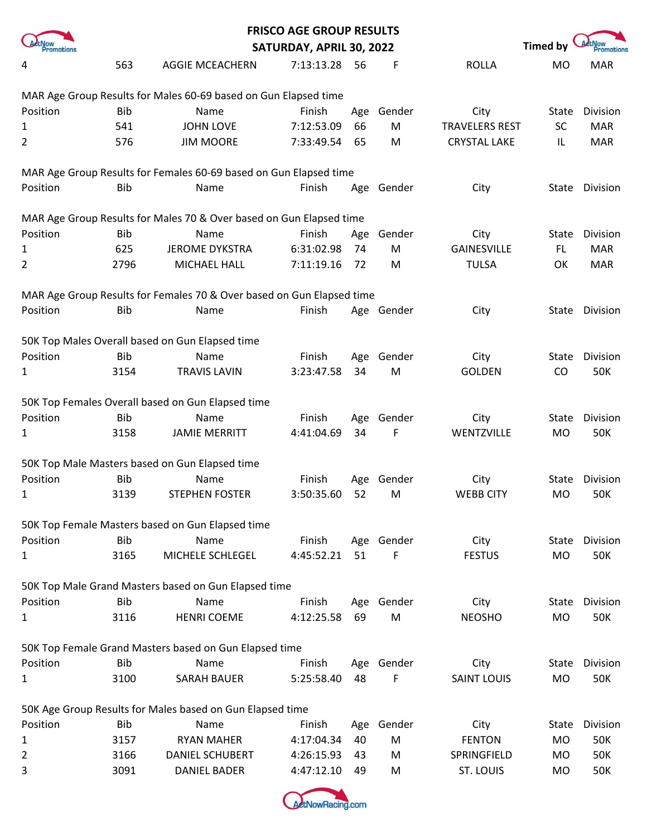|                                                                 |            |                                                                       | <b>FRISCO AGE GROUP RESULTS</b> |      |            |                       |                 |                             |  |  |  |
|-----------------------------------------------------------------|------------|-----------------------------------------------------------------------|---------------------------------|------|------------|-----------------------|-----------------|-----------------------------|--|--|--|
| <b>Promotions</b>                                               |            |                                                                       | SATURDAY, APRIL 30, 2022        |      |            |                       | <b>Timed by</b> | <b>ActNow</b><br>Promotions |  |  |  |
| 4                                                               | 563        | <b>AGGIE MCEACHERN</b>                                                | 7:13:13.28                      | - 56 | F          | <b>ROLLA</b>          | MO              | <b>MAR</b>                  |  |  |  |
| MAR Age Group Results for Males 60-69 based on Gun Elapsed time |            |                                                                       |                                 |      |            |                       |                 |                             |  |  |  |
| Position                                                        | <b>Bib</b> | Name                                                                  | Finish                          | Age  | Gender     | City                  | State           | Division                    |  |  |  |
| 1                                                               | 541        | <b>JOHN LOVE</b>                                                      | 7:12:53.09                      | 66   | M          | <b>TRAVELERS REST</b> | <b>SC</b>       | <b>MAR</b>                  |  |  |  |
| $\overline{2}$                                                  | 576        | <b>JIM MOORE</b>                                                      | 7:33:49.54                      | 65   | M          | <b>CRYSTAL LAKE</b>   | IL              | <b>MAR</b>                  |  |  |  |
|                                                                 |            | MAR Age Group Results for Females 60-69 based on Gun Elapsed time     |                                 |      |            |                       |                 |                             |  |  |  |
| Position                                                        | <b>Bib</b> | Name                                                                  | Finish                          | Age  | Gender     | City                  | State           | Division                    |  |  |  |
|                                                                 |            | MAR Age Group Results for Males 70 & Over based on Gun Elapsed time   |                                 |      |            |                       |                 |                             |  |  |  |
| Position                                                        | <b>Bib</b> | Name                                                                  | Finish                          | Age  | Gender     | City                  | State           | Division                    |  |  |  |
| 1                                                               | 625        | <b>JEROME DYKSTRA</b>                                                 | 6:31:02.98                      | 74   | M          | <b>GAINESVILLE</b>    | FL.             | <b>MAR</b>                  |  |  |  |
| 2                                                               | 2796       | MICHAEL HALL                                                          | 7:11:19.16                      | 72   | M          | <b>TULSA</b>          | OK              | <b>MAR</b>                  |  |  |  |
|                                                                 |            | MAR Age Group Results for Females 70 & Over based on Gun Elapsed time |                                 |      |            |                       |                 |                             |  |  |  |
| Position                                                        | <b>Bib</b> | Name                                                                  | Finish                          |      | Age Gender | City                  |                 | State Division              |  |  |  |
|                                                                 |            | 50K Top Males Overall based on Gun Elapsed time                       |                                 |      |            |                       |                 |                             |  |  |  |
| Position                                                        | <b>Bib</b> | Name                                                                  | Finish                          | Age  | Gender     | City                  | State           | Division                    |  |  |  |
| 1                                                               | 3154       | <b>TRAVIS LAVIN</b>                                                   | 3:23:47.58                      | 34   | M          | <b>GOLDEN</b>         | CO              | 50K                         |  |  |  |
|                                                                 |            | 50K Top Females Overall based on Gun Elapsed time                     |                                 |      |            |                       |                 |                             |  |  |  |
| Position                                                        | <b>Bib</b> | Name                                                                  | Finish                          | Age  | Gender     | City                  | State           | Division                    |  |  |  |
| 1                                                               | 3158       | <b>JAMIE MERRITT</b>                                                  | 4:41:04.69                      | 34   | F          | WENTZVILLE            | <b>MO</b>       | <b>50K</b>                  |  |  |  |
|                                                                 |            | 50K Top Male Masters based on Gun Elapsed time                        |                                 |      |            |                       |                 |                             |  |  |  |
| Position                                                        | <b>Bib</b> | Name                                                                  | Finish                          | Age  | Gender     | City                  | <b>State</b>    | Division                    |  |  |  |
|                                                                 | 3139       | <b>STEPHEN FOSTER</b>                                                 | 3:50:35.60                      | 52   | M          | <b>WEBB CITY</b>      | MO.             | 50K                         |  |  |  |
|                                                                 |            | 50K Top Female Masters based on Gun Elapsed time                      |                                 |      |            |                       |                 |                             |  |  |  |
| Position                                                        | Bib        | Name                                                                  | Finish                          |      | Age Gender | City                  | State           | Division                    |  |  |  |
| 1                                                               | 3165       | MICHELE SCHLEGEL                                                      | 4:45:52.21                      | 51   | F          | <b>FESTUS</b>         | <b>MO</b>       | 50K                         |  |  |  |
|                                                                 |            | 50K Top Male Grand Masters based on Gun Elapsed time                  |                                 |      |            |                       |                 |                             |  |  |  |
| Position                                                        | <b>Bib</b> | Name                                                                  | Finish                          | Age  | Gender     | City                  | State           | Division                    |  |  |  |
| 1                                                               | 3116       | <b>HENRI COEME</b>                                                    | 4:12:25.58                      | 69   | M          | <b>NEOSHO</b>         | MO              | <b>50K</b>                  |  |  |  |
|                                                                 |            | 50K Top Female Grand Masters based on Gun Elapsed time                |                                 |      |            |                       |                 |                             |  |  |  |
| Position                                                        | <b>Bib</b> | Name                                                                  | Finish                          | Age  | Gender     | City                  | <b>State</b>    | Division                    |  |  |  |
| 1                                                               | 3100       | <b>SARAH BAUER</b>                                                    | 5:25:58.40                      | 48   | F          | <b>SAINT LOUIS</b>    | <b>MO</b>       | 50K                         |  |  |  |
|                                                                 |            | 50K Age Group Results for Males based on Gun Elapsed time             |                                 |      |            |                       |                 |                             |  |  |  |
| Position                                                        | <b>Bib</b> | Name                                                                  | Finish                          | Age  | Gender     | City                  | State           | Division                    |  |  |  |
| 1                                                               | 3157       | <b>RYAN MAHER</b>                                                     | 4:17:04.34                      | 40   | ${\sf M}$  | <b>FENTON</b>         | <b>MO</b>       | 50K                         |  |  |  |
| 2                                                               | 3166       | <b>DANIEL SCHUBERT</b>                                                | 4:26:15.93                      | 43   | M          | SPRINGFIELD           | <b>MO</b>       | <b>50K</b>                  |  |  |  |
| 3                                                               | 3091       | <b>DANIEL BADER</b>                                                   | 4:47:12.10                      | 49   | M          | ST. LOUIS             | MO              | <b>50K</b>                  |  |  |  |

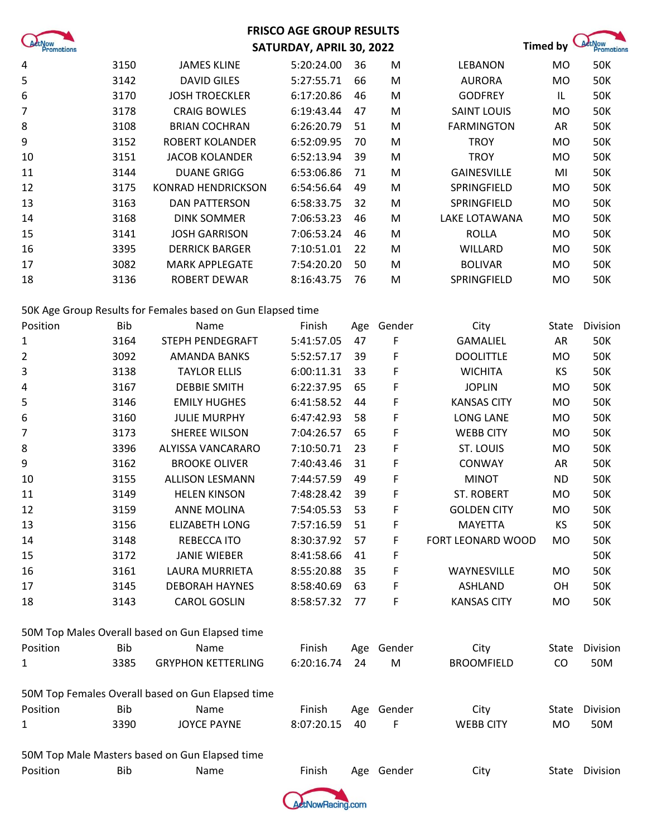|                             |            |                                                             | <b>FRISCO AGE GROUP RESULTS</b> |     |            |                    |           |                                    |
|-----------------------------|------------|-------------------------------------------------------------|---------------------------------|-----|------------|--------------------|-----------|------------------------------------|
| <b>ActNow</b><br>Promotions |            |                                                             | SATURDAY, APRIL 30, 2022        |     |            |                    | Timed by  | <b>ActNow</b><br><b>Promotions</b> |
| 4                           | 3150       | <b>JAMES KLINE</b>                                          | 5:20:24.00                      | 36  | M          | <b>LEBANON</b>     | <b>MO</b> | <b>50K</b>                         |
| 5                           | 3142       | <b>DAVID GILES</b>                                          | 5:27:55.71                      | 66  | M          | <b>AURORA</b>      | <b>MO</b> | <b>50K</b>                         |
| 6                           | 3170       | <b>JOSH TROECKLER</b>                                       | 6:17:20.86                      | 46  | ${\sf M}$  | <b>GODFREY</b>     | IL.       | <b>50K</b>                         |
| 7                           | 3178       | <b>CRAIG BOWLES</b>                                         | 6:19:43.44                      | 47  | M          | <b>SAINT LOUIS</b> | <b>MO</b> | <b>50K</b>                         |
| 8                           | 3108       | <b>BRIAN COCHRAN</b>                                        | 6:26:20.79                      | 51  | M          | <b>FARMINGTON</b>  | AR        | <b>50K</b>                         |
| 9                           | 3152       | <b>ROBERT KOLANDER</b>                                      | 6:52:09.95                      | 70  | M          | <b>TROY</b>        | <b>MO</b> | <b>50K</b>                         |
| 10                          | 3151       | <b>JACOB KOLANDER</b>                                       | 6:52:13.94                      | 39  | M          | <b>TROY</b>        | <b>MO</b> | <b>50K</b>                         |
| 11                          | 3144       | <b>DUANE GRIGG</b>                                          | 6:53:06.86                      | 71  | M          | <b>GAINESVILLE</b> | MI        | <b>50K</b>                         |
| 12                          | 3175       | <b>KONRAD HENDRICKSON</b>                                   | 6:54:56.64                      | 49  | M          | SPRINGFIELD        | <b>MO</b> | <b>50K</b>                         |
| 13                          | 3163       | <b>DAN PATTERSON</b>                                        | 6:58:33.75                      | 32  | M          | SPRINGFIELD        | <b>MO</b> | <b>50K</b>                         |
| 14                          | 3168       | <b>DINK SOMMER</b>                                          | 7:06:53.23                      | 46  | M          | LAKE LOTAWANA      | <b>MO</b> | <b>50K</b>                         |
| 15                          | 3141       | <b>JOSH GARRISON</b>                                        | 7:06:53.24                      | 46  | M          | <b>ROLLA</b>       | MO        | <b>50K</b>                         |
| 16                          | 3395       | <b>DERRICK BARGER</b>                                       | 7:10:51.01                      | 22  | M          | <b>WILLARD</b>     | <b>MO</b> | <b>50K</b>                         |
| 17                          | 3082       | <b>MARK APPLEGATE</b>                                       | 7:54:20.20                      | 50  | M          | <b>BOLIVAR</b>     | <b>MO</b> | <b>50K</b>                         |
| 18                          | 3136       | ROBERT DEWAR                                                | 8:16:43.75                      | 76  | M          | SPRINGFIELD        | <b>MO</b> | <b>50K</b>                         |
|                             |            | 50K Age Group Results for Females based on Gun Elapsed time |                                 |     |            |                    |           |                                    |
| Position                    | <b>Bib</b> | Name                                                        | Finish                          | Age | Gender     | City               | State     | Division                           |
| 1                           | 3164       | STEPH PENDEGRAFT                                            | 5:41:57.05                      | 47  | F          | <b>GAMALIEL</b>    | AR        | <b>50K</b>                         |
| 2                           | 3092       | <b>AMANDA BANKS</b>                                         | 5:52:57.17                      | 39  | F          | <b>DOOLITTLE</b>   | <b>MO</b> | <b>50K</b>                         |
| 3                           | 3138       | <b>TAYLOR ELLIS</b>                                         | 6:00:11.31                      | 33  | F          | <b>WICHITA</b>     | KS        | <b>50K</b>                         |
| 4                           | 3167       | <b>DEBBIE SMITH</b>                                         | 6:22:37.95                      | 65  | F          | <b>JOPLIN</b>      | MO        | <b>50K</b>                         |
| 5                           | 3146       | <b>EMILY HUGHES</b>                                         | 6:41:58.52                      | 44  | F          | <b>KANSAS CITY</b> | <b>MO</b> | <b>50K</b>                         |
| 6                           | 3160       | <b>JULIE MURPHY</b>                                         | 6:47:42.93                      | 58  | F          | <b>LONG LANE</b>   | <b>MO</b> | <b>50K</b>                         |
| 7                           | 3173       | <b>SHEREE WILSON</b>                                        | 7:04:26.57                      | 65  | F          | <b>WEBB CITY</b>   | <b>MO</b> | <b>50K</b>                         |
| 8                           | 3396       | ALYISSA VANCARARO                                           | 7:10:50.71                      | 23  | F          | ST. LOUIS          | <b>MO</b> | <b>50K</b>                         |
| 9                           | 3162       | <b>BROOKE OLIVER</b>                                        | 7:40:43.46                      | 31  | F          | CONWAY             | AR        | <b>50K</b>                         |
| 10                          | 3155       | <b>ALLISON LESMANN</b>                                      | 7:44:57.59                      | 49  | F          | <b>MINOT</b>       | <b>ND</b> | <b>50K</b>                         |
| 11                          | 3149       | <b>HELEN KINSON</b>                                         | 7:48:28.42                      | 39  | F          | <b>ST. ROBERT</b>  | MO        | <b>50K</b>                         |
| 12                          | 3159       | <b>ANNE MOLINA</b>                                          | 7:54:05.53                      | 53  | F          | <b>GOLDEN CITY</b> | MO        | 50K                                |
| 13                          | 3156       | ELIZABETH LONG                                              | 7:57:16.59                      | 51  | F          | MAYETTA            | KS        | 50K                                |
| 14                          | 3148       | REBECCA ITO                                                 | 8:30:37.92                      | 57  | F          | FORT LEONARD WOOD  | <b>MO</b> | 50K                                |
| 15                          | 3172       | <b>JANIE WIEBER</b>                                         | 8:41:58.66                      | 41  | F          |                    |           | 50K                                |
| 16                          | 3161       | LAURA MURRIETA                                              | 8:55:20.88                      | 35  | F          | WAYNESVILLE        | <b>MO</b> | 50K                                |
| 17                          | 3145       | <b>DEBORAH HAYNES</b>                                       | 8:58:40.69                      | 63  | F          | ASHLAND            | OH        | <b>50K</b>                         |
| 18                          | 3143       | <b>CAROL GOSLIN</b>                                         | 8:58:57.32                      | 77  | F          | <b>KANSAS CITY</b> | MO        | <b>50K</b>                         |
|                             |            | 50M Top Males Overall based on Gun Elapsed time             |                                 |     |            |                    |           |                                    |
| Position                    | Bib        | Name                                                        | Finish                          |     | Age Gender | City               | State     | Division                           |
| 1                           | 3385       | <b>GRYPHON KETTERLING</b>                                   | 6:20:16.74                      | 24  | M          | <b>BROOMFIELD</b>  | CO        | 50M                                |
|                             |            | 50M Top Females Overall based on Gun Elapsed time           |                                 |     |            |                    |           |                                    |
| Position                    | Bib        | Name                                                        | Finish                          |     | Age Gender | City               | State     | Division                           |
| 1                           | 3390       | <b>JOYCE PAYNE</b>                                          | 8:07:20.15                      | 40  | F          | <b>WEBB CITY</b>   | <b>MO</b> | 50M                                |
|                             |            | 50M Top Male Masters based on Gun Elapsed time              |                                 |     |            |                    |           |                                    |
| Position                    | Bib        | Name                                                        | Finish                          |     | Age Gender | City               |           | State Division                     |